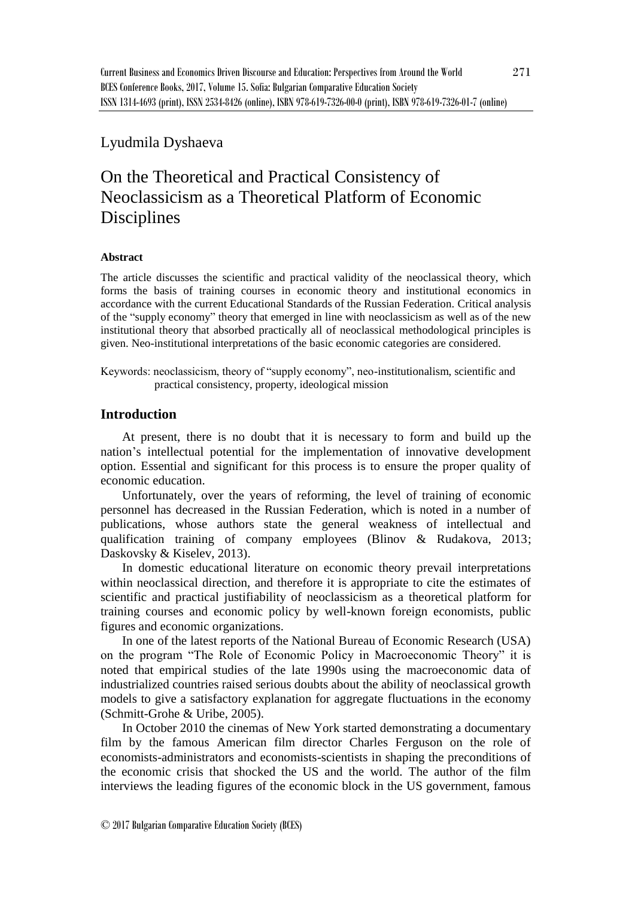## Lyudmila Dyshaeva

# On the Theoretical and Practical Consistency of Neoclassicism as a Theoretical Platform of Economic **Disciplines**

#### **Abstract**

The article discusses the scientific and practical validity of the neoclassical theory, which forms the basis of training courses in economic theory and institutional economics in accordance with the current Educational Standards of the Russian Federation. Critical analysis of the "supply economy" theory that emerged in line with neoclassicism as well as of the new institutional theory that absorbed practically all of neoclassical methodological principles is given. Neo-institutional interpretations of the basic economic categories are considered.

Keywords: neoclassicism, theory of "supply economy", neo-institutionalism, scientific and practical consistency, property, ideological mission

### **Introduction**

At present, there is no doubt that it is necessary to form and build up the nation's intellectual potential for the implementation of innovative development option. Essential and significant for this process is to ensure the proper quality of economic education.

Unfortunately, over the years of reforming, the level of training of economic personnel has decreased in the Russian Federation, which is noted in a number of publications, whose authors state the general weakness of intellectual and qualification training of company employees (Blinov & Rudakova, 2013; Daskovsky & Kiselev, 2013).

In domestic educational literature on economic theory prevail interpretations within neoclassical direction, and therefore it is appropriate to cite the estimates of scientific and practical justifiability of neoclassicism as a theoretical platform for training courses and economic policy by well-known foreign economists, public figures and economic organizations.

In one of the latest reports of the National Bureau of Economic Research (USA) on the program "The Role of Economic Policy in Macroeconomic Theory" it is noted that empirical studies of the late 1990s using the macroeconomic data of industrialized countries raised serious doubts about the ability of neoclassical growth models to give a satisfactory explanation for aggregate fluctuations in the economy (Schmitt-Grohe & Uribe, 2005).

In October 2010 the cinemas of New York started demonstrating a documentary film by the famous American film director Charles Ferguson on the role of economists-administrators and economists-scientists in shaping the preconditions of the economic crisis that shocked the US and the world. The author of the film interviews the leading figures of the economic block in the US government, famous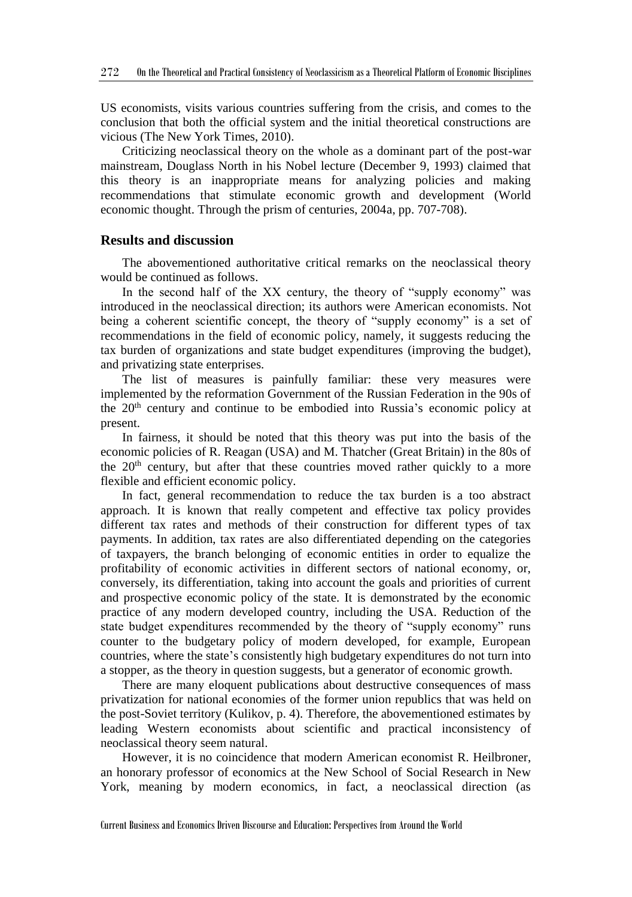US economists, visits various countries suffering from the crisis, and comes to the conclusion that both the official system and the initial theoretical constructions are vicious (The New York Times, 2010).

Criticizing neoclassical theory on the whole as a dominant part of the post-war mainstream, Douglass North in his Nobel lecture (December 9, 1993) claimed that this theory is an inappropriate means for analyzing policies and making recommendations that stimulate economic growth and development (World economic thought. Through the prism of centuries, 2004a, pp. 707-708).

#### **Results and discussion**

The abovementioned authoritative critical remarks on the neoclassical theory would be continued as follows.

In the second half of the XX century, the theory of "supply economy" was introduced in the neoclassical direction; its authors were American economists. Not being a coherent scientific concept, the theory of "supply economy" is a set of recommendations in the field of economic policy, namely, it suggests reducing the tax burden of organizations and state budget expenditures (improving the budget), and privatizing state enterprises.

The list of measures is painfully familiar: these very measures were implemented by the reformation Government of the Russian Federation in the 90s of the  $20<sup>th</sup>$  century and continue to be embodied into Russia's economic policy at present.

In fairness, it should be noted that this theory was put into the basis of the economic policies of R. Reagan (USA) and M. Thatcher (Great Britain) in the 80s of the  $20<sup>th</sup>$  century, but after that these countries moved rather quickly to a more flexible and efficient economic policy.

In fact, general recommendation to reduce the tax burden is a too abstract approach. It is known that really competent and effective tax policy provides different tax rates and methods of their construction for different types of tax payments. In addition, tax rates are also differentiated depending on the categories of taxpayers, the branch belonging of economic entities in order to equalize the profitability of economic activities in different sectors of national economy, or, conversely, its differentiation, taking into account the goals and priorities of current and prospective economic policy of the state. It is demonstrated by the economic practice of any modern developed country, including the USA. Reduction of the state budget expenditures recommended by the theory of "supply economy" runs counter to the budgetary policy of modern developed, for example, European countries, where the state's consistently high budgetary expenditures do not turn into a stopper, as the theory in question suggests, but a generator of economic growth.

There are many eloquent publications about destructive consequences of mass privatization for national economies of the former union republics that was held on the post-Soviet territory (Kulikov, p. 4). Therefore, the abovementioned estimates by leading Western economists about scientific and practical inconsistency of neoclassical theory seem natural.

However, it is no coincidence that modern American economist R. Heilbroner, an honorary professor of economics at the New School of Social Research in New York, meaning by modern economics, in fact, a neoclassical direction (as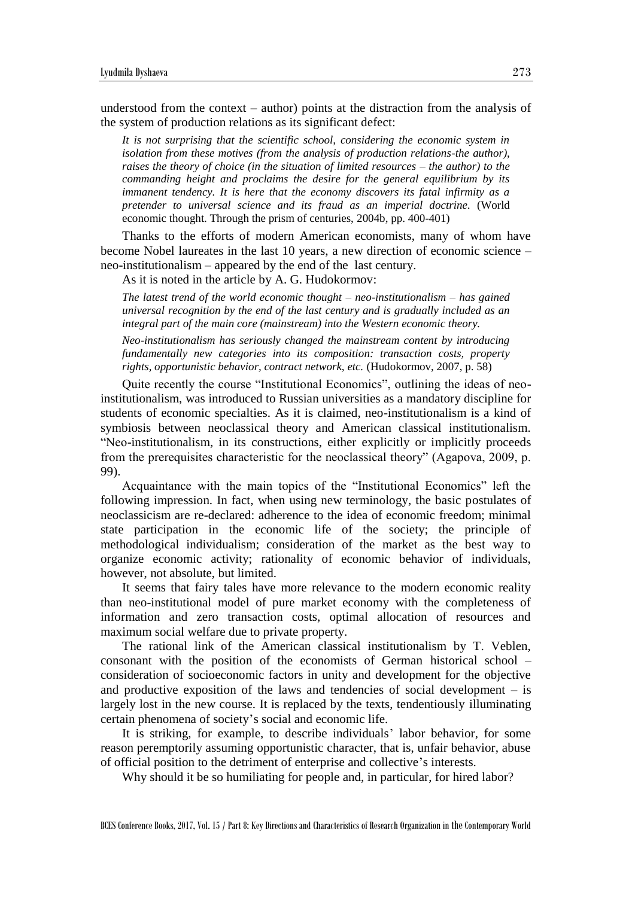understood from the context – author) points at the distraction from the analysis of the system of production relations as its significant defect:

*It is not surprising that the scientific school, considering the economic system in isolation from these motives (from the analysis of production relations-the author), raises the theory of choice (in the situation of limited resources – the author) to the commanding height and proclaims the desire for the general equilibrium by its immanent tendency. It is here that the economy discovers its fatal infirmity as a pretender to universal science and its fraud as an imperial doctrine.* (World economic thought. Through the prism of centuries, 2004b, pp. 400-401)

Thanks to the efforts of modern American economists, many of whom have become Nobel laureates in the last 10 years, a new direction of economic science – neo-institutionalism – appeared by the end of the last century.

As it is noted in the article by A. G. Hudokormov:

*The latest trend of the world economic thought – neo-institutionalism – has gained universal recognition by the end of the last century and is gradually included as an integral part of the main core (mainstream) into the Western economic theory.*

*Neo-institutionalism has seriously changed the mainstream content by introducing fundamentally new categories into its composition: transaction costs, property rights, opportunistic behavior, contract network, etc.* (Hudokormov, 2007, p. 58)

Quite recently the course "Institutional Economics", outlining the ideas of neoinstitutionalism, was introduced to Russian universities as a mandatory discipline for students of economic specialties. As it is claimed, neo-institutionalism is a kind of symbiosis between neoclassical theory and American classical institutionalism. "Neo-institutionalism, in its constructions, either explicitly or implicitly proceeds from the prerequisites characteristic for the neoclassical theory" (Agapova, 2009, p. 99).

Acquaintance with the main topics of the "Institutional Economics" left the following impression. In fact, when using new terminology, the basic postulates of neoclassicism are re-declared: adherence to the idea of economic freedom; minimal state participation in the economic life of the society; the principle of methodological individualism; consideration of the market as the best way to organize economic activity; rationality of economic behavior of individuals, however, not absolute, but limited.

It seems that fairy tales have more relevance to the modern economic reality than neo-institutional model of pure market economy with the completeness of information and zero transaction costs, optimal allocation of resources and maximum social welfare due to private property.

The rational link of the American classical institutionalism by T. Veblen, consonant with the position of the economists of German historical school – consideration of socioeconomic factors in unity and development for the objective and productive exposition of the laws and tendencies of social development – is largely lost in the new course. It is replaced by the texts, tendentiously illuminating certain phenomena of society's social and economic life.

It is striking, for example, to describe individuals' labor behavior, for some reason peremptorily assuming opportunistic character, that is, unfair behavior, abuse of official position to the detriment of enterprise and collective's interests.

Why should it be so humiliating for people and, in particular, for hired labor?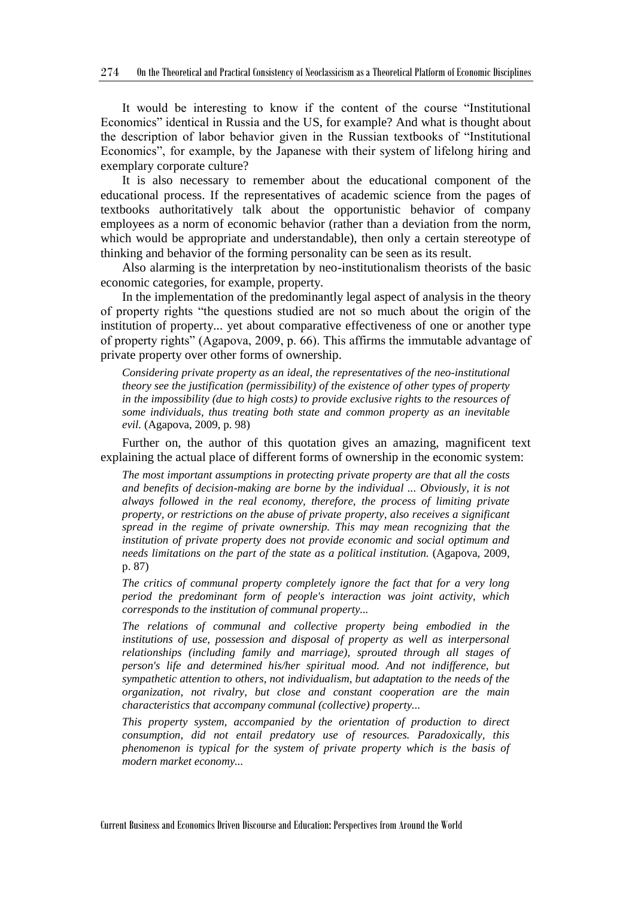It would be interesting to know if the content of the course "Institutional Economics" identical in Russia and the US, for example? And what is thought about the description of labor behavior given in the Russian textbooks of "Institutional Economics", for example, by the Japanese with their system of lifelong hiring and exemplary corporate culture?

It is also necessary to remember about the educational component of the educational process. If the representatives of academic science from the pages of textbooks authoritatively talk about the opportunistic behavior of company employees as a norm of economic behavior (rather than a deviation from the norm, which would be appropriate and understandable), then only a certain stereotype of thinking and behavior of the forming personality can be seen as its result.

Also alarming is the interpretation by neo-institutionalism theorists of the basic economic categories, for example, property.

In the implementation of the predominantly legal aspect of analysis in the theory of property rights "the questions studied are not so much about the origin of the institution of property... yet about comparative effectiveness of one or another type of property rights" (Agapova, 2009, p. 66). This affirms the immutable advantage of private property over other forms of ownership.

*Considering private property as an ideal, the representatives of the neo-institutional theory see the justification (permissibility) of the existence of other types of property in the impossibility (due to high costs) to provide exclusive rights to the resources of some individuals, thus treating both state and common property as an inevitable evil.* (Agapova, 2009, p. 98)

Further on, the author of this quotation gives an amazing, magnificent text explaining the actual place of different forms of ownership in the economic system:

*The most important assumptions in protecting private property are that all the costs and benefits of decision-making are borne by the individual ... Obviously, it is not always followed in the real economy, therefore, the process of limiting private property, or restrictions on the abuse of private property, also receives a significant spread in the regime of private ownership. This may mean recognizing that the institution of private property does not provide economic and social optimum and needs limitations on the part of the state as a political institution.* (Agapova, 2009, p. 87)

*The critics of communal property completely ignore the fact that for a very long period the predominant form of people's interaction was joint activity, which corresponds to the institution of communal property...*

*The relations of communal and collective property being embodied in the institutions of use, possession and disposal of property as well as interpersonal relationships (including family and marriage), sprouted through all stages of person's life and determined his/her spiritual mood. And not indifference, but sympathetic attention to others, not individualism, but adaptation to the needs of the organization, not rivalry, but close and constant cooperation are the main characteristics that accompany communal (collective) property...*

*This property system, accompanied by the orientation of production to direct consumption, did not entail predatory use of resources. Paradoxically, this phenomenon is typical for the system of private property which is the basis of modern market economy...*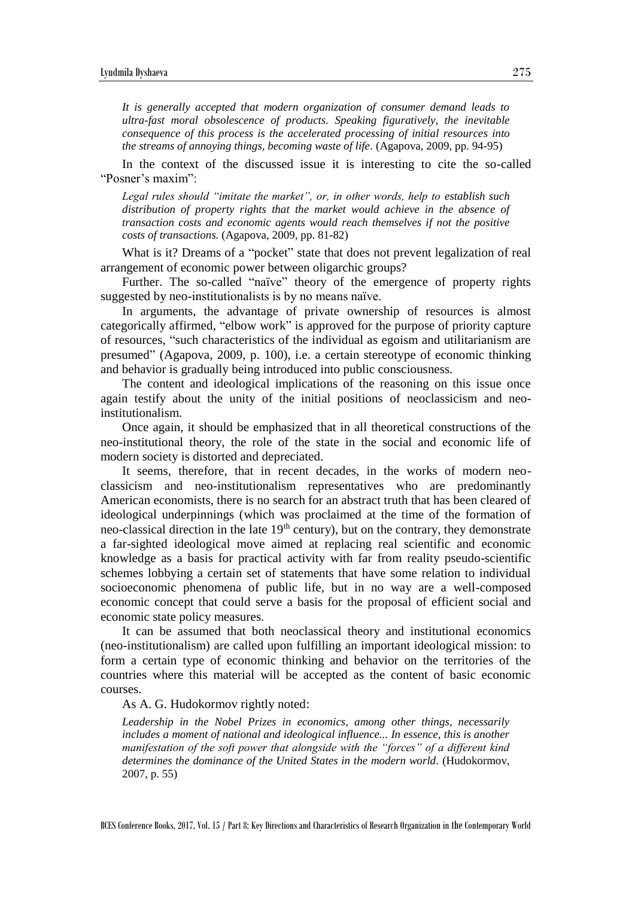*It is generally accepted that modern organization of consumer demand leads to ultra-fast moral obsolescence of products. Speaking figuratively, the inevitable consequence of this process is the accelerated processing of initial resources into the streams of annoying things, becoming waste of life.* (Agapova, 2009, pp. 94-95)

In the context of the discussed issue it is interesting to cite the so-called "Posner's maxim":

*Legal rules should "imitate the market", or, in other words, help to establish such distribution of property rights that the market would achieve in the absence of transaction costs and economic agents would reach themselves if not the positive costs of transactions.* (Agapova, 2009, pp. 81-82)

What is it? Dreams of a "pocket" state that does not prevent legalization of real arrangement of economic power between oligarchic groups?

Further. The so-called "naïve" theory of the emergence of property rights suggested by neo-institutionalists is by no means naïve.

In arguments, the advantage of private ownership of resources is almost categorically affirmed, "elbow work" is approved for the purpose of priority capture of resources, "such characteristics of the individual as egoism and utilitarianism are presumed" (Agapova, 2009, p. 100), i.e. a certain stereotype of economic thinking and behavior is gradually being introduced into public consciousness.

The content and ideological implications of the reasoning on this issue once again testify about the unity of the initial positions of neoclassicism and neoinstitutionalism.

Once again, it should be emphasized that in all theoretical constructions of the neo-institutional theory, the role of the state in the social and economic life of modern society is distorted and depreciated.

It seems, therefore, that in recent decades, in the works of modern neoclassicism and neo-institutionalism representatives who are predominantly American economists, there is no search for an abstract truth that has been cleared of ideological underpinnings (which was proclaimed at the time of the formation of neo-classical direction in the late  $19<sup>th</sup>$  century), but on the contrary, they demonstrate a far-sighted ideological move aimed at replacing real scientific and economic knowledge as a basis for practical activity with far from reality pseudo-scientific schemes lobbying a certain set of statements that have some relation to individual socioeconomic phenomena of public life, but in no way are a well-composed economic concept that could serve a basis for the proposal of efficient social and economic state policy measures.

It can be assumed that both neoclassical theory and institutional economics (neo-institutionalism) are called upon fulfilling an important ideological mission: to form a certain type of economic thinking and behavior on the territories of the countries where this material will be accepted as the content of basic economic courses.

As A. G. Hudokormov rightly noted:

*Leadership in the Nobel Prizes in economics, among other things, necessarily includes a moment of national and ideological influence... In essence, this is another manifestation of the soft power that alongside with the "forces" of a different kind determines the dominance of the United States in the modern world.* (Hudokormov, 2007, p. 55)